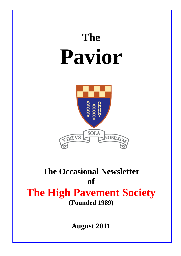# **The Pavior**



## **The Occasional Newsletter of The High Pavement Society (Founded 1989)**

**August 2011**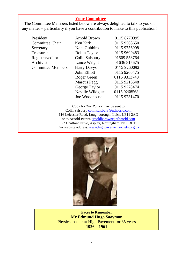#### **Your Committee**

The Committee Members listed below are always delighted to talk to you on any matter – particularly if you have a contribution to make to this publication!

President: Committee Chair Secretary **Treasurer** Registrar/editor Archivist Committee Members

| Arnold Brown          | 0115 8770395 |
|-----------------------|--------------|
|                       |              |
| Ken Kirk              | 0115 9568650 |
| <b>Noel Gubbins</b>   | 0115 9756998 |
| Robin Taylor          | 0115 9609483 |
| <b>Colin Salsbury</b> | 01509 558764 |
| Lance Wright          | 01636815675  |
| <b>Barry Davys</b>    | 0115 9260092 |
| John Elliott          | 0115 9266475 |
| Roger Green           | 0115 9313740 |
| <b>Marcus Pegg</b>    | 0115 9216548 |
| George Taylor         | 0115 9278474 |
| Neville Wildgust      | 0115 9268568 |
| Joe Woodhouse         | 0115 9231470 |

Copy for *The Pavior* may be sent to Colin Salsbury [colin.salsbury@ntlworld.com](mailto:colin.salsbury@ntlworld.com) 116 Leicester Road, Loughborough, Leics. LE11 2AQ or to Arnold Brown [arnoldhbrown@ntlworld.com](mailto:arnoldhbrown@ntlworld.com) 22 Chalfont Drive, Aspley, Nottingham, NG8 3LT Our website address: [www.highpavementsociety.org.uk](http://www.highpavementsociety.org.uk/)



**Faces to Remember Mr Edmund Hugo Saayman**  Physics master at High Pavement for 35 years **1926 – 1961**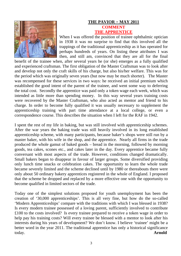

#### **THE PAVIOR - MAY 2011 COMMENT THE APPRENTICE**

When I was offered the position of trainee ophthalmic optician in 1938 it was no surprise to find that this involved all the trappings of the traditional apprenticeship as it has operated for perhaps hundreds of years. On listing these attributes I was then, and still am, convinced that they are all for the final

benefit of the trainee when, after several years he (or she) emerges as a fully qualified and experienced craftsman. The first obligation of the Master Craftsman was to look after and develop not only the craft skills of his charge, but also his/her welfare. This was for the period which was originally seven years (but now may be much shorter). The Master was recompensed for these services in two ways: he received an initial premium which established the good intent of the parent of the trainee, and went some way to deferring the total cost. Secondly the apprentice was paid only a token wage each week, which was intended as little more than spending money. In this way several years training costs were recovered by the Master Craftsman, who also acted as mentor and friend to his charge. In order to become fully qualified it was usually necessary to supplement the apprenticeship training with part time attendance at a local college, or even a correspondence course. This describes the situation when I left for the RAF in 1942.

I spent the rest of my life in baking, but was still involved with apprenticeship schemes. After the war years the baking trade was still heavily involved in its long established apprenticeship scheme, with many participants, because baker's shops were still run by a master baker, with his wife in the shop, and the apprentice. Nearly all firms in the trade produced the whole gamut of baked goods – bread in the morning, followed by morning goods, tea cakes, scones etc., and cakes later in the day. Every apprentice became fully conversant with most aspects of the trade. However, conditions changed dramatically. Small bakers began to disappear in favour of larger groups. Some diversified providing only lunch time snacks or celebration cakes. The opportunity to learn the whole trade became severely limited and the scheme declined until by 1980 or thereabouts there were only about 50 ordinary bakery apprentices registered in the whole of England. I proposed that the scheme be dropped and replaced by a more effective one with the opportunity to become qualified in limited sectors of the trade.

Today one of the simplest solutions proposed for youth unemployment has been the creation of '30,000 apprenticeships'. This is all very fine, but how do the so-called 'Modern Apprenticeships' compare with the traditions with which I was blessed in 1938? Is every modern trainee possessed of a loving parent, sufficiently involved to contribute £100 to the costs involved? Is every trainee prepared to receive a token wage in order to help pay his training costs? Will every trainee be blessed with a mentor to look after his interests during his years of development? We don't know. I believe 'trainee' might be a better word in the year 2011. The traditional apprentice has only a historical significance today. **Arnold**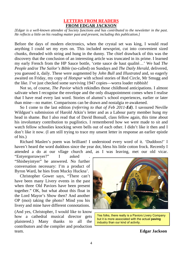#### **LETTERS FROM READERS FROM EDGAR JACKSON**

*[Edgar is a well-known attendee of Society functions and has contributed to the newsletter in the past. He reflects a little on his reading matter past and present, including this publication.]* 

Before the days of modern electronics, when the crystal set was king, I would read anything I could set my eyes on. This included newsprint, cut into convenient sized chunks, threaded with string and hung in the dunny. The chief drawback of this was the discovery that the conclusion of an interesting article was truncated in its prime. I learned my early French from the HP Sauce bottle, 'cette sauce de haut qualité…' We had *The People* and/or *The Sailor's Bible* (so-called) on Sundays and *The Daily Herald*, delivered, you guessed it, daily. These were augmented by *John Bull* and *Illustrated* and, so eagerly awaited on Friday, my copy of *Hotspur* with school stories of Red Circle, Mr Smugg and the like. I've just checked some surviving 1947 copies—worra loader rubbish!

 Not so, of course, *The Pavior* which rekindles those childhood anticipations. I almost salivate when I recognise the envelope and the only disappointment comes when I realise that I have read every last word. Stories of alumni's school experiences, earlier or later than mine—no matter. Comparisons can be drawn and nostalgia re-awakened.

 So I come to the last edition *(referring to that of Feb 2011-Ed)*. I savoured Neville Wildgust's submission of Harold Atkin's letter and as a Labour party member hung my head in shame. But I also read that of David Bonsall, class fellow again, this time about his involuntary contribution to pugilistics. I remembered how we were made to sit and watch fellow schoolies knocking seven bells out of each other. I didn't like it then and I don't like it now. (I am still trying to trace my unsent letter in response an earlier epistle of his.)

 Richard Maslen's poem was brilliant! I understood every word of it. 'Duddoos!' I haven't heard the word duddoos since the year dot, bless his little cotton frock. Recently I attended a do at our vllage church and, as I was leaving, met our old vicar.

"Entyergorrawyer?" I asked . "Shisbeyintyer" he answered. No further conversation necessary: I'm a product of Byron Ward, he hies from Mucky Huckna'.

 Christopher Gower says, "There can't have been many Livery events in the past when three Old Paviors have been present together." OK, but what about this float in the Lord Mayor's Show then? And another OP (moi) taking the photo? Mind you his livery and mine have different connotations.

(And yes, Christopher, I would like to know how a cathedral musical director gets plaistered.) Many thanks to all the contributors and the compiler and production team. **Edgar Jackson**



Yes folks, there really is a Paviors Livery Company but it is more associated with the actual **paving** industry than our kind of activity.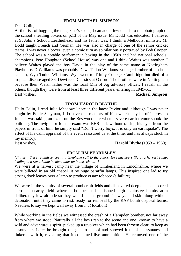#### **FROM MICHAEL SIMPSON**

#### Dear Colin,

At the risk of hogging the magazine's space, I can add a few details to the photograph of the school's leading boxers on p.13 of the May issue. Mr Dodd was educated, I believe, at St John's School, Leatherhead, and his father was, I think, a Methodist minister. Mr Dodd taught French and German. He was also in charge of one of the senior cricket teams. I was never a boxer, even a comic turn as so hilariously portrayed by Bob Cooper. The school was a notable performer in boxing in the 1950s and had national schools' champions. Pete Houghton (School House) was one and I think Waites was another. I believe Waites played the boy David in the play of the same name at Nottingham Playhouse. D.Williams was probably Dewi Tudno Williams, younger brother of a school captain, Wyn Tudno Williams. Wyn went to Trinity College, Cambridge but died of a tropical disease aged 36. Dewi read Classics at Oxford. The brothers were in Nottingham because their Welsh father was the local Min of Ag advisory officer. I recall all the others, though they were from at least three different years, entering in 1949-51. Best wishes, **Michael Simpson** 

#### **FROM HAROLD BLYTHE**

Hello Colin, I read Julia Meadows' note in the latest Pavior and, although I was never taught by Eddie Saayman, I do have one memory of him which may be of interest to Julia. I was taking an exam on the Bestwood site when a severe earth tremor shook the building. The invigilator for the exam was EHS and, without raising his eyes from the papers in front of him, he simply said "Don't worry boys, it is only an earthquake". The effect of his calm appraisal of the event reassured us at the time, and has always stuck in my memory.

Best wishes, **Harold Blythe** (1953 – 1960)

#### **FROM JIM BEARDSLEY**

*[Jim sent these reminiscences in a telephone call to the editor. He remembers life at a harvest camp, leading to a remarkable incident later on in the school…]* 

We were at a harvest camp near the village of Timberland in Lincolnshire, where we were billeted in an old chapel lit by huge paraffin lamps. This inspired one lad to try drying dock leaves over a lamp to produce ersatz tobacco (a failure).

We were in the vicinity of several bomber airfields and discovered deep channels scored across a nearby field where a bomber had jettisoned high explosive bombs at a deliberately low altitude so they would hit the ground sideways and skid along without detonation until they came to rest, ready for removal by the RAF bomb disposal teams. Needless to say we kept well away from *that* location!

While working in the fields we witnessed the crash of a Hampden bomber, not far away from where we stood. Naturally all the boys ran to the scene and one, known to have a wild and adventurous spirit, picked up a revolver which had been thrown clear, to keep as a souvenir. Later he brought the gun to school and showed it to his classmates and tinkered with it, revealing that it contained live ammunition. He removed one of the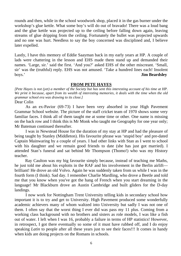rounds and then, while in the school woodwork shop, placed it in the gas burner under the workshop's glue kettle. What some boy's will do out of bravado! There was a loud bang and the glue kettle was projected up to the ceiling before falling down again, leaving streams of glue dripping from the ceiling. Fortunately the bullet was projected upwards and no one was hurt. Needless to say the boy concerned was disciplined and, I believe later expelled.

Lastly, I have this memory of Eddie Saayman back in my early years at HP. A couple of lads were chattering in the lesson and EHS made them stand up and demanded their names. 'Large, sir.' said the first. 'And you?' asked EHS of the other miscreant. 'Small, sir' was the (truthful) reply. EHS was not amused. 'Take a hundred lines each! Insolent boys.' **Jim Beardsley** 

#### **FROM PETE HAYES**

*[Pete Hayes is not (yet) a member of the Society but has sent this interesting account of his time at HP. We print it because, apart from its wealth of interesting memories, it deals with the time when the old grammar school era was drawing to its close.]* 

#### Dear Colin

As an ex-Pavior (69-73) I have been very absorbed in your High Pavement Grammar School website. The picture of the staff cricket team of 1970 shows some very familiar faces. I think all of them taught me at some time or other. One name is missing on the back row and I think this is Mr Monk who taught me Geography for one year only; Mr Bateman continued thereafter.

I was in Newstead House for the duration of my stay at HP and had the pleasure of being taught by Stanley (Middleton). His favourite phrase was 'stupid boy' and pre-dated Captain Mainwaring by a couple of years. I had other links with Stan as I went to school with his daughter and we remain good friends to date (she has just got married). I attended Stan's funeral and sat behind Mr Thompson (Thomo!) who was my History teacher.

 Ray Caulton was my big favourite simply because, instead of teaching me Maths, he just told me about his exploits in the RAF and his involvement in the Berlin airlift brilliant! He drove an old Volvo. Again he was suddenly taken from us while I was in the fourth form (I think). Sad day. I remember Charlie Mardling, who drove a Beetle and told me that you know when you've got the hang of French when you start dreaming in the language! Mr Blackburn drove an Austin Cambridge and built gliders for the D-day landings.

I now work for Nottingham Trent University telling kids in secondary school how important it is to try and get to University. High Pavement produced some wonderfully academic achievers many of whom waltzed into University but sadly I was not one of them. I often say that the worst thing I ever did was pass my 11 plus. Coming from a working class background with no brothers and sisters as role models, I was like a fish out of water. I left when I was 16, probably a failure in terms of HP statistics! However, in retrospect, I got there eventually so some of it must have rubbed off, and I do enjoy speaking *Latin* to people after all these years just to see their faces!!! It comes in handy when kids are doing projects on the Romans in schools.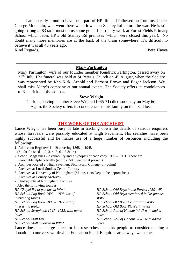I am secretly proud to have been part of HP life and followed on from my Uncle, George Mountain, who went there when it was on Stanley Rd before the war. He is still going strong at 83 so it must do us some good. I currently work at Forest Fields Primary School which faces HP's old Stanley Rd premises (which were closed this year). No doubt many more memories are at the back of the brain somewhere. It's difficult to believe it was all 40 years ago. Kind Regards, **Pete Hayes**

#### **Mary Partington**

Mary Partington, wife of our founder member Kendrick Partington, passed away on  $22<sup>nd</sup>$  July. Her funeral was held at St Peter's Church on  $4<sup>th</sup>$  August, when the Society was represented by Ken Kirk, Arnold and Barbara Brown and Edgar Jackson. We shall miss Mary's company at our annual events. The Society offers its condolences to Kendrick on his sad loss.

#### **Steve Wright**

Our long serving member Steve Wright (1965-71) died suddenly on May 6th. Again, the Society offers its condolences to his family on their sad loss.

#### **THE WORK OF THE ARCHIVIST**

Lance Wright has been busy of late in tracking down the details of various enquirers whose forebears were possibly educated at High Pavement. His searches have been highly successful and he makes use of a huge number of resources including the following:

- 1. Admission Registers 1 19 covering 1868 to 1948 (So far finished 1, 2, 3, 4, 5, 6, 13 & 14)
- 2. School Magazines Availability and a synopsis of each copy 1908 1991. These are searchable alphabetically (approx. 5000 names at present)
- 3. Archives located at High Pavement Sixth Form College (on-going)
- 4. Archives at Local Studies Central Library
- 5. Archives at University of Nottingham (Manuscripts Dept to be approached)
- 6. Archives at County Archives
- 7. Photographs at Nottingham Archives

| Also the following sources:                |                                            |
|--------------------------------------------|--------------------------------------------|
| HP Chapel list of persons in WW1           | HP School Old Boys in the Forces 1939 - 45 |
| HP School Log Book $1892 - 1895$ , list of | HP School Old Boys mentioned in Despatches |
| interesting topics                         | WW2                                        |
| HP School Log Book $1899 - 1912$ , list of | HP School Old Boys Decorations WW2         |
| <i>interesting topics</i>                  | HP School Old Boys POW's in WW2            |
| HP School Scrapbook 1947–1952, with name   | HP School Roll of Honour WW1 with added    |
| index                                      | notes                                      |
| HP School Staff List                       | HP School Roll of Honour WW2 with added    |
| HP School Staff involved in WW2            | notes                                      |

Lance does not charge a fee for his researches but asks people to consider making a donation to our very worthwhile Education Fund. Enquiries are always welcome.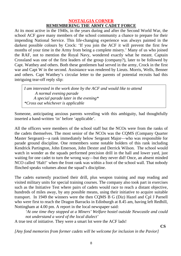#### **NOSTALGIA CORNER REMEMBERING THE ARMY CADET FORCE**

At its most active in the 1940s, in the years during and after the Second World War, the school ACF gave many members of the school community a chance to prepare for their impending National Service. This life-changing experience was always painted in the darkest possible colours by Crock: 'If you join the ACF it will prevent the first few months of your time in the Army from being a complete misery.' Many of us who joined the RAF, not to mention the Royal Navy, wondered exactly what he meant. Captain Crossland was one of the first leaders of the group (company?), later to be followed by Capt. Watthey and others. Both these gentlemen had served in the army, Crock in the first war and Capt W in the second. Assistance was rendered by Lieuts. Morris, Wells, Benner and others. Capt Watthey's circular letter to the parents of potential recruits had this intriguing tear-off reply slip:

*I am interested in the work done by the ACF and would like to attend A normal evening parade A special parade later in the evening\* \*Cross out whichever is applicable*

Someone, anticipating anxious parents wrestling with this ambiguity, had thoughtfully inserted a hand-written 'in' before 'applicable'.

All the officers were members of the school staff but the NCOs were from the ranks of the cadets themselves. The most senior of the NCOs was the CQMS (Company Quarter Master Sergeant)—a rank immediately below Sergeant Major—who was responsible for parade ground discipline. One remembers some notable holders of this rank including Kendrick Partington, John Emerson, John Dexter and Derrick Wilson. The school would watch in wonder as the squads performed precision drill in the hall and lower yard, just waiting for one cadet to turn the wrong way—but they never did! Once, an absent minded NCO called 'Halt!' when the front rank was within a foot of the school wall. That nobody flinched speaks volumes about the squad's discipline.

The cadets earnestly practised their drill, plus weapon training and map reading and visited military units for special training courses. The company also took part in exercises such as the Initiative Test where pairs of cadets would race to reach a distant objective, hundreds of miles away, by any possible means, using their initiative to acquire suitable transport. In 1949 the winners were the then CQMS B G (Diz) Hazel and Cpl J Parnell who were first to reach the Dragon Barracks in Edinburgh at 8.45 am, having left Redhill, Nottingham at 4.00 pm. A report in the local newspaper said:

*'At one time they stopped at a Miners' Welfare hostel outside Newcastle and could not understand a word of the local dialect'*

A true test of initiative. They were a smart lot were the ACF lads!

 **CS** 

*[Any fond memories from former cadets will be welcome for inclusion in the Pavior]*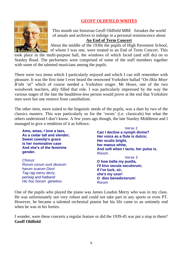#### **GEOFF OLDFIELD WRITES**



This month our historian Geoff Oldfield MBE forsakes the world of annals and archives to indulge in a personal reminiscence about **An End of Term Concert**

About the middle of the 1930s the pupils of High Pavement School, of whom I was one, were treated to an End of Term Concert. This

took place in the multi-purpose hall, the windows of which faced (and still do) on to Stanley Road. The performers were comprised of some of the staff members together with some of the talented musicians among the pupils.

There were two items which I particularly enjoyed and which I can still remember with pleasure. It was the first time I ever heard the renowned Yorkshire ballad "*On Ilkla Moor B'aht 'a*t" which of course needed a Yorkshire singer. Mr Howe, one of the two woodwork teachers, ably filled that role. I was particularly impressed by the way the various stages of the fate the headdress-less person would prove at the end that Yorkshire men were but one remove from cannibalism.

The other item, more suited to the linguistic needs of the pupils, was a duet by two of the classics masters. This was particularly so for the 'swots' (i.e. classicals) but what the others understood I don't know. A few years ago though, the late Stanley Middleton and I managed to give a rendition of it as follows:

| Amo, amas, I love a lass,<br>As a cedar tall and slender;<br><b>Sweet cowslip's grace</b><br>is her nominative case<br>And she's of the feminine<br>gender. | Verse 2<br>Can I decline a nymph divine?<br>Her voice as a flute is dulcis;<br>Her oculis bright,<br>her manus white,<br>And soft when I tacto, her pulse is.<br>Rorum. |
|-------------------------------------------------------------------------------------------------------------------------------------------------------------|-------------------------------------------------------------------------------------------------------------------------------------------------------------------------|
| Chorus:<br>Rorum corum sunt divorum<br>harum scarum Divo!<br>Tag rag merry derry,<br>periwig and hatband<br>Hic hoc horum genetivo.                         | Verse 3<br>O how bella my puella,<br>I'll kiss secula seculorum;<br>If I've luck, sir,<br>she's my uxor!<br>O dies benedictorum!<br>Rorum                               |

One of the pupils who played the piano was James Loudon Merry who was in my class. He was unfortunately not very robust and could not take part in any sports or even PT. However, he became a talented orchestral pianist but his life came to an untimely end when he was in his forties.

I wonder, were these concerts a regular feature or did the 1939-45 war put a stop to them? **Geoff Oldfield**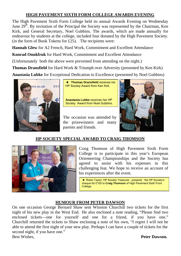#### **HIGH PAVEMENT SIXTH FORM COLLEGE AWARDS EVENING**

The High Pavement Sixth Form College held its annual Awards Evening on Wednesday June  $29<sup>th</sup>$ . By invitation of the Principal the Society was represented by the Chairman, Ken Kirk, and General Secretary, Noel Gubbins. The awards, which are made annually for endeavour by students at the college, included four donated by the High Pavement Society. (in the form of Book Tokens for  $£25$ ). The recipients were:

**Hannah Glew** for A2 French, Hard Work, Commitment and Excellent Attendance

**Konrad Onukfruk** for Hard Work, Commitment and Excellent Attendance

(Unfortunately both the above were prevented from attending on the night.)

**Thomas Dransfield** for Hard Work & Triumph over Adversity (presented by Ken Kirk) **Anastasia Lubke** for Exceptional Dedication to Excellence (presented by Noel Gubbins)



◄ **Thomas Dransfield** receives his HP Society Award from Ken Kirk.

**Anastasia Lubke** receives her HP Society Award from Noel Gubbins.

The occasion was attended by the prizewinners and many parents and friends.



#### **HP SOCIETY SPECIAL AWARD TO CRAIG THOMSON**



Craig Thomson of High Pavement Sixth Form College is to participate in this year's European Orienteering Championships and the Society has agreed to assist with his expenses in this challenging feat. We hope to receive an account of his experiences after the event.

◄ Robin Taylor, HP Society Treasurer, presents the HP Society's cheque for £100 to **Craig Thomson** of High Pavement Sixth Form College.

#### **HUMOUR FROM PETER DAWSON**

On one occasion George Bernard Shaw sent Winston Churchill two tickets for the first night of his new play in the West End. He also enclosed a note reading, "Please find two enclosed tickets—one for yourself and one for a friend, if you have one." Churchill returned the tickets to Shaw enclosing a note of his own, "I regret I will not be able to attend the first night of your new play. Perhaps I can have a couple of tickets for the second night, if you have one." Best Wishes. **Peter Dawson.**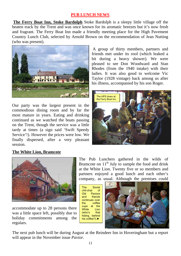#### **PUB LUNCH NEWS**

**The Ferry Boat Inn, Stoke Bardolph** Stoke Bardolph is a sleepy little village off the beaten track by the Trent and was once known for its aromatic breezes but it's now fresh and fragrant. The Ferry Boat Inn made a friendly meeting place for the High Pavement Country Lunch Club, selected by Arnold Brown on the recommendation of Jean Nutting (who was present).



Our party was the largest present in the commodious dining room and by far the most mature in years. Eating and drinking continued as we watched the boats passing on the Trent, though the service was a little tardy at times (a sign said 'Swift Speedy Service'!). However the prices were low. We finally dispersed, after a very pleasant session.

#### A group of thirty members, partners and friends met under its roof (which leaked a bit during a heavy shower). We were pleased to see Don Woodward and Stan Rhodes (from the 1940 intake) with their ladies. It was also good to welcome Vic Taylor (1928 vintage) back among us after his illness, accompanied by his son Roger.



#### **The White Lion, Bramcote**



accommodate up to 28 persons there was a little space left, possibly due to holiday commitments among the regulars.

The Pub Lunchers gathered in the wilds of Bramcote on  $11<sup>th</sup>$  July to sample the food and drink at the White Lion. Twenty five or so members and partners enjoyed a good lunch and each other's company, as usual. Although the premises could

The Social chit-chat of Old Paviors and friends continues over the coffee cups at the White Lion (who's that hiding behind his coffee?).►



The next pub lunch will be during August at the Reindeer Inn in Hoveringham but a report will appear in the November issue *Pavior.*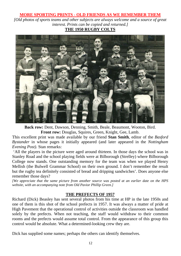#### **MORE SPORTING PRINTS - OLD FRIENDS AS WE REMEMBER THEM**

*[Old photos of sports teams and other subjects are always welcome and a source of great interest. Prints can be copied and returned.]*  **THE 1950 RUGBY COLTS**



**Back row:** Dent, Dawson, Denning, Smith, Beale, Beaumont, Wooton, Bird. **Front row:** Douglas, Squires, Green, Knight, Gee, Lamb.

This excellent print was made available by our friend **Stan Smith**, editor of the *Basford Bystander* in whose pages it initially appeared (and later appeared in the *Nottingham Evening Post).* Stan remarks:

 'All the players in the picture were aged around thirteen. In those days the school was in Stanley Road and the school playing fields were at Bilborough (Strelley) where Bilborough College now stands. One outstanding memory for the team was when we played Henry Mellish (the Bulwell Grammar School) on their own ground. I don't remember the result but the rugby tea definitely consisted of bread and dripping sandwiches'. Does anyone else remember those days?

*[We appreciate that the same picture from another source was posted at an earlier date on the HPS website, with an accompanying note from Old Pavior Phillip Green.]* 

#### **THE PREFECTS OF 1957**

Richard (Dick) Beasley has sent several photos from his time at HP in the late 1950s and one of them is this shot of the school prefects in 1957. It was always a matter of pride at High Pavement that the operational control of activities outside the classroom was handled solely by the prefects. When not teaching, the staff would withdraw to their common rooms and the prefects would assume total control. From the appearance of this group this control would be absolute. What a determined-looking crew they are.

Dick has supplied some names; perhaps the others can identify themselves.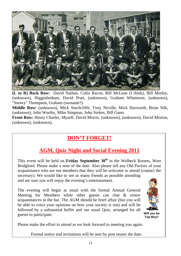

**(L to R) Back Row:** David Nathan, Colin Bacon, Bill McLean (I think), Bill Morley, (unknown), Higginbotham, David Pratt, (unknown), Graham Whatmore, (unknown), "Snowy" Thompson, Graham (surname?).

**Middle Row:** (unknown), Mick Stuchcliffe, Tony Neville, Mick Hurworth, Brian Silk, (unknown), John Worthy, Mike Simpson, John Stokes, Bill Gunn.

**Front Row:** Henry Charles, Myself, David Morris, (unknown), (unknown), David Morton, (unknown), (unknown).

### **DON'T FORGET!**

#### **AGM, Quiz Night and Social Evening 2011**

This event will be held on **Friday September 30th** in the Welbeck Rooms, West Bridgford. Please make a note of the date. Also please tell any Old Paviors of your acquaintance who are not members that they will be welcome to attend (contact the secretary). We would like to see as many friends as possible attending

and are sure you will enjoy the evening's entertainment.

The evening will begin as usual with the formal Annual General Meeting for Members while other guests can chat & renew acquaintances in the bar. The AGM should be brief affair (but you will be able to voice your opinions on how your society is run) and will be followed by a substantial buffet and our usual Quiz, arranged for all guests to participate. **Will you be Will you be Will you be** 



**Top Boy?** 

Please make the effort to attend as we look forward to meeting you again.

Formal notice and invitations will be sent by post nearer the date.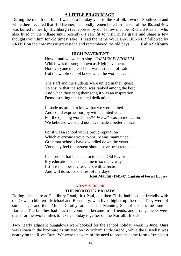#### **A LITTLE PILGRIMAGE**

During the month of June I was on a holiday visit to the Suffolk town of Southwold and while there recalled that Bill Benner, our fondly remembered art master of the 30s and 40s, was buried in nearby Blythburgh (as reported by our fellow member Richard Maslen, who also lived in the village until recently). I saw fit to visit Bill's grave and share a few thoughts with him for old times' sake. I read the name WILLIAM BENNER followed by *ARTIST* on the now mossy gravestone and remembered the old days. **Colin Salsbury**

#### **HIGH PAVEMENT**

How proud we were to sing '*CARMEN PAVIORUM*' Which was the song known as High Pavement. Not everyone in the school was a student of Latin But the whole school knew what the words meant

The staff and the students were united in their quest To ensure that the school was ranked among the best And when they sang their song it was an inspiration, Demonstrating their united dedication.

It made us proud to know that we were united And could express our joy with a united voice For the opening words: '*UNA VOCE*' was an indication We believed we could not have made a better choice.

For it was a school with a proud reputation Which everyone strove to ensure was maintained Grammar schools have dwindled down the years Yet many feel the system should have been retained

I am proud that I can claim to be an Old Pavior My education has helped me in so many ways I still remember my teachers with affection And will do so for the rest of my days

#### **Ron Martin (1941-47, Captain of Forest House)**

#### **ARNY'S BOOK**

#### **THE NORFOLK BROADS**

During our tenure at Charlbury Road, first Paul, and then Chris, had become friendly with the Oswell children - Michael and Rosemary, who lived higher up the road. They were of similar age, and their Mum, Dorothy, attended the Manning School at the same time as Barbara. The families had much in common, became firm friends, and arrangements were made for the two families to take a holiday together on the Norfolk Broads.

Two nearly adjacent bungalows were booked for the school holiday week in June. Ours was shown in the brochure as situated on 'Wroxham Little Broad', while the Oswells' was nearby on the River Bure. We were unaware of the need to provide some form of transport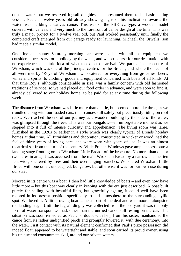on the water, but we reserved lugsail dinghies, and presumed them to be basic sailing vessels. Paul, at twelve years old already showing signs of his inclination towards the water, was building a canvas canoe. This was of the PBK 22 type, a wooden model covered with canvas, and very much to the forefront of canoe design at the time. This was truly a major project for a twelve year old, but Paul worked persistently until finally the completed craft emerged from our garage ready for launching. Michael, the Oswells' son had made a similar model.

One fine and sunny Saturday morning cars were loaded with all the equipment we considered necessary for a holiday by the water, and we set course for our destination with no experience, and little idea of what to expect on arrival. We parked in the centre of Wroxham, which was one of the principal centres for the Broads, and where the needs of all were met by 'Roys of Wroxham', who catered for everything from groceries, beers, wines and spirits, to clothing, goods and equipment concerned with boats of all kinds. At that time Roy's, although considerable in size, was a family concern with old fashioned traditions of service, so we had placed our food order in advance, and were soon to find it, already delivered to our holiday home, to be paid for at any time during the following week.

The distance from Wroxham was little more than a mile, but seemed more like three, as we trundled along with our loaded cars, their canoes still safely but precariously riding on roof racks. We reached the end of our journey as a wooden building by the side of the water, was glimpsed through the trees. This was our bungalow—an unforgettable moment as we stepped into it full of intense curiosity and apprehension. The living room was large, furnished in the 1920s or earlier in a style which was clearly typical of Broads holiday homes at that time. All furnishings and decoration, constructed in wicker or wood, had the feel of thirty years of loving care, and were worn with years of use. It was an almost theatrical set from the turn of the century. Wide French Windows gave ample access onto a landing stage fronting on to 'Wroxham Little Broad' of the brochure. No more than one or two acres in area, it was accessed from the main Wroxham Broad by a narrow channel ten feet wide, sheltered by trees and their overhanging branches. We shared Wroxham Little Broad with one other, unoccupied, bungalow, but otherwise it was for our own use during our stay.

Moored in its centre was a boat. I then had little knowledge of boats – and even now have little more – but this boat was clearly in keeping with the era just described. A boat built purely for sailing, with beautiful lines, but gracefully ageing, it could well have been moored in its present position specifically to add atmosphere to the surrounding idyllic spot. We loved it. A little rowing boat came as part of the deal and was moored alongside the landing stage. Until the lugsail dinghy was collected from the boatyard it was the only form of water transport we had, other than the untried canoe still resting on the car. This situation was soon remedied as Paul, no doubt with help from his sister, manhandled the canoe from its rather undignified perch and promptly lowered it, with due ceremony, into the water. First contact with its natural element confirmed that Paul's prize possession did indeed float, appeared to be watertight and stable, and soon carried its proud owner, using his unique and consummate skill, around our private waters.